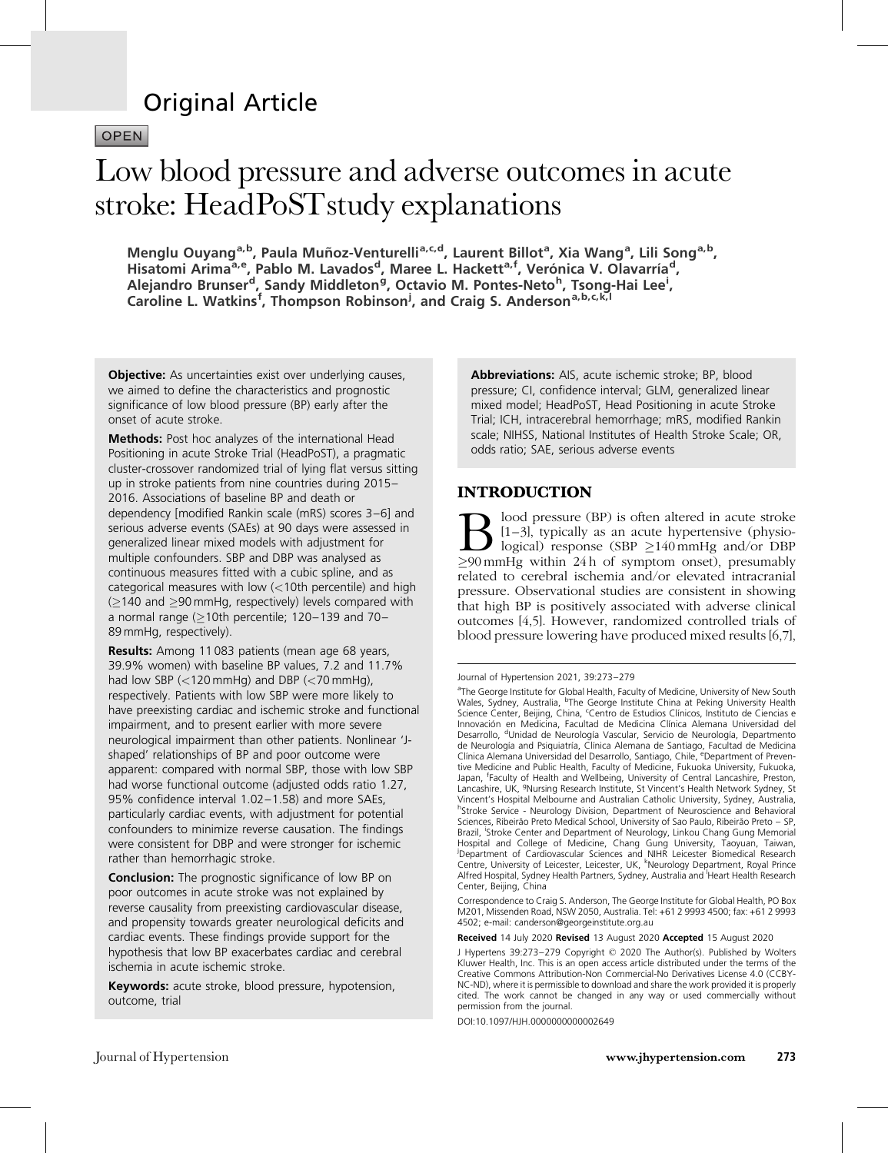# Original Article

OPEN

# Low blood pressure and adverse outcomes in acute stroke: HeadPoSTstudy explanations

Menglu Ouyang<sup>a,b</sup>, Paula Muñoz-Venturelli<sup>a,c,d</sup>, Laurent Billot<sup>a</sup>, Xia Wang<sup>a</sup>, Lili Song<sup>a,b</sup>, Hisatomi Arima<sup>a, e</sup>, Pablo M. Lavados<sup>d</sup>, Maree L. Hackett<sup>a, f</sup>, Verónica V. Olavarría<sup>d</sup>, Alejandro Brunser<sup>d</sup>, Sandy Middleton<sup>g</sup>, Octavio M. Pontes-Neto<sup>h</sup>, Tsong-Hai Lee<sup>i</sup>, Caroline L. Watkins<sup>f</sup>, Thompson Robinson<sup>j</sup>, and Craig S. Anderson<sup>a,b,c,k,l</sup>

**Objective:** As uncertainties exist over underlying causes, we aimed to define the characteristics and prognostic significance of low blood pressure (BP) early after the onset of acute stroke.

Methods: Post hoc analyzes of the international Head Positioning in acute Stroke Trial (HeadPoST), a pragmatic cluster-crossover randomized trial of lying flat versus sitting up in stroke patients from nine countries during 2015– 2016. Associations of baseline BP and death or dependency [modified Rankin scale (mRS) scores 3–6] and serious adverse events (SAEs) at 90 days were assessed in generalized linear mixed models with adjustment for multiple confounders. SBP and DBP was analysed as continuous measures fitted with a cubic spline, and as categorical measures with low (<10th percentile) and high  $(\geq$ 140 and  $\geq$ 90 mmHg, respectively) levels compared with a normal range ( $\geq$ 10th percentile; 120–139 and 70– 89 mmHg, respectively).

Results: Among 11 083 patients (mean age 68 years, 39.9% women) with baseline BP values, 7.2 and 11.7% had low SBP (<120 mmHg) and DBP (<70 mmHg), respectively. Patients with low SBP were more likely to have preexisting cardiac and ischemic stroke and functional impairment, and to present earlier with more severe neurological impairment than other patients. Nonlinear 'Jshaped' relationships of BP and poor outcome were apparent: compared with normal SBP, those with low SBP had worse functional outcome (adjusted odds ratio 1.27, 95% confidence interval 1.02–1.58) and more SAEs, particularly cardiac events, with adjustment for potential confounders to minimize reverse causation. The findings were consistent for DBP and were stronger for ischemic rather than hemorrhagic stroke.

**Conclusion:** The prognostic significance of low BP on poor outcomes in acute stroke was not explained by reverse causality from preexisting cardiovascular disease, and propensity towards greater neurological deficits and cardiac events. These findings provide support for the hypothesis that low BP exacerbates cardiac and cerebral ischemia in acute ischemic stroke.

Keywords: acute stroke, blood pressure, hypotension, outcome, trial

Abbreviations: AIS, acute ischemic stroke; BP, blood pressure; CI, confidence interval; GLM, generalized linear mixed model; HeadPoST, Head Positioning in acute Stroke Trial; ICH, intracerebral hemorrhage; mRS, modified Rankin scale; NIHSS, National Institutes of Health Stroke Scale; OR, odds ratio; SAE, serious adverse events

# INTRODUCTION

lood pressure (BP) is often altered in acute stroke [1–3], typically as an acute hypertensive (physiological) response (SBP  $\geq$ 140 mmHg and/or DBP -90mmHg within 24 h of symptom onset), presumably related to cerebral ischemia and/or elevated intracranial pressure. Observational studies are consistent in showing that high BP is positively associated with adverse clinical outcomes [\[4,5\].](#page-5-0) However, randomized controlled trials of blood pressure lowering have produced mixed results [\[6,7\]](#page-5-0),

Journal of Hypertension 2021, 39:273–279

<sup>a</sup>The George Institute for Global Health, Faculty of Medicine, University of New South<br>Wales, Sydney, Australia, <sup>b</sup>The George Institute China at Peking University Health Science Center, Beijing, China, <sup>c</sup>Centro de Estudios Clínicos, Instituto de Ciencias e Innovación en Medicina, Facultad de Medicina Clínica Alemana Universidad del Desarrollo, <sup>d</sup>Unidad de Neurología Vascular, Servicio de Neurología, Departmento de Neurología and Psiquiatría, Clínica Alemana de Santiago, Facultad de Medicina Clínica Alemana Universidad del Desarrollo, Santiago, Chile, eDepartment of Preventive Medicine and Public Health, Faculty of Medicine, Fukuoka University, Fukuoka, Japan, <sup>f</sup> Faculty of Health and Wellbeing, University of Central Lancashire, Preston, Lancashire, UK, <sup>g</sup>Nursing Research Institute, St Vincent's Health Network Sydney, St Vincent's Hospital Melbourne and Australian Catholic University, Sydney, Australia, hStroke Service - Neurology Division, Department of Neuroscience and Behavioral Sciences, Ribeirão Preto Medical School, University of Sao Paulo, Ribeirão Preto – SP, Brazil, 'Stroke Center and Department of Neurology, Linkou Chang Gung Memorial Hospital and College of Medicine, Chang Gung University, Taoyuan, Taiwan, j Department of Cardiovascular Sciences and NIHR Leicester Biomedical Research Centre, University of Leicester, Leicester, UK, <sup>k</sup>Neurology Department, Royal Prince Alfred Hospital, Sydney Health Partners, Sydney, Australia and <sup>I</sup>Heart Health Research Center, Beijing, China

Correspondence to Craig S. Anderson, The George Institute for Global Health, PO Box M201, Missenden Road, NSW 2050, Australia. Tel: +61 2 9993 4500; fax: +61 2 9993 4502; e-mail: [canderson@georgeinstitute.org.au](mailto:canderson@georgeinstitute.org.au)

Received 14 July 2020 Revised 13 August 2020 Accepted 15 August 2020

J Hypertens 39:273–279 Copyright © 2020 The Author(s). Published by Wolters Kluwer Health, Inc. This is an open access article distributed under the terms of the Creative Commons Attribution-Non Commercial-No Derivatives License 4.0 (CCBY-NC-ND), where it is permissible to download and share the work provided it is properly cited. The work cannot be changed in any way or used commercially without permission from the journal.

DOI:10.1097/HJH.0000000000002649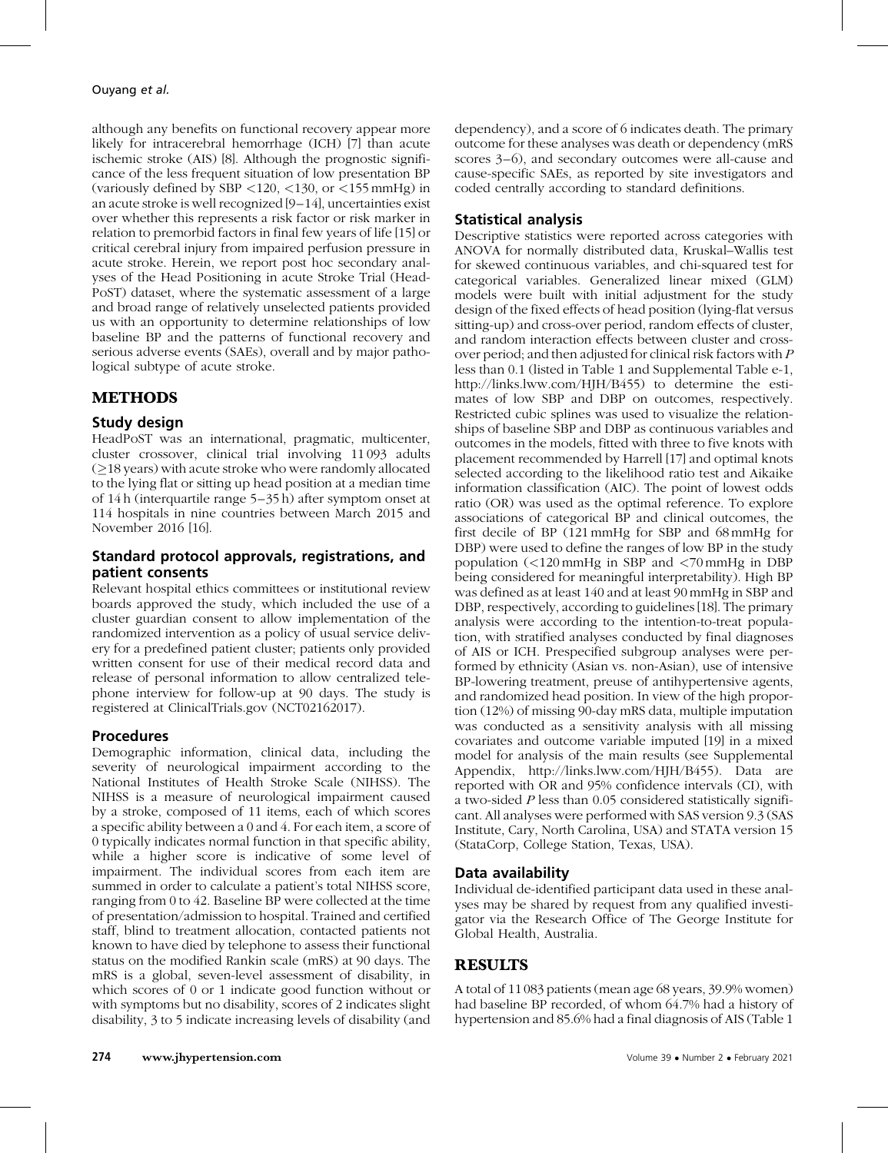although any benefits on functional recovery appear more likely for intracerebral hemorrhage (ICH) [\[7\]](#page-5-0) than acute ischemic stroke (AIS) [\[8\]](#page-5-0). Although the prognostic significance of the less frequent situation of low presentation BP (variously defined by SBP <120, <130, or <155 mmHg) in an acute stroke is well recognized [\[9–14\]](#page-6-0), uncertainties exist over whether this represents a risk factor or risk marker in relation to premorbid factors in final few years of life [\[15\]](#page-6-0) or critical cerebral injury from impaired perfusion pressure in acute stroke. Herein, we report post hoc secondary analyses of the Head Positioning in acute Stroke Trial (Head-PoST) dataset, where the systematic assessment of a large and broad range of relatively unselected patients provided us with an opportunity to determine relationships of low baseline BP and the patterns of functional recovery and serious adverse events (SAEs), overall and by major pathological subtype of acute stroke.

# METHODS

## Study design

HeadPoST was an international, pragmatic, multicenter, cluster crossover, clinical trial involving 11093 adults  $(\geq$ 18 years) with acute stroke who were randomly allocated to the lying flat or sitting up head position at a median time of 14h (interquartile range 5–35 h) after symptom onset at 114 hospitals in nine countries between March 2015 and November 2016 [\[16\]](#page-6-0).

## Standard protocol approvals, registrations, and patient consents

Relevant hospital ethics committees or institutional review boards approved the study, which included the use of a cluster guardian consent to allow implementation of the randomized intervention as a policy of usual service delivery for a predefined patient cluster; patients only provided written consent for use of their medical record data and release of personal information to allow centralized telephone interview for follow-up at 90 days. The study is registered at ClinicalTrials.gov (NCT02162017).

## Procedures

Demographic information, clinical data, including the severity of neurological impairment according to the National Institutes of Health Stroke Scale (NIHSS). The NIHSS is a measure of neurological impairment caused by a stroke, composed of 11 items, each of which scores a specific ability between a 0 and 4. For each item, a score of 0 typically indicates normal function in that specific ability, while a higher score is indicative of some level of impairment. The individual scores from each item are summed in order to calculate a patient's total NIHSS score, ranging from 0 to 42. Baseline BP were collected at the time of presentation/admission to hospital. Trained and certified staff, blind to treatment allocation, contacted patients not known to have died by telephone to assess their functional status on the modified Rankin scale (mRS) at 90 days. The mRS is a global, seven-level assessment of disability, in which scores of 0 or 1 indicate good function without or with symptoms but no disability, scores of 2 indicates slight disability, 3 to 5 indicate increasing levels of disability (and

dependency), and a score of 6 indicates death. The primary outcome for these analyses was death or dependency (mRS scores 3–6), and secondary outcomes were all-cause and cause-specific SAEs, as reported by site investigators and coded centrally according to standard definitions.

# Statistical analysis

Descriptive statistics were reported across categories with ANOVA for normally distributed data, Kruskal–Wallis test for skewed continuous variables, and chi-squared test for categorical variables. Generalized linear mixed (GLM) models were built with initial adjustment for the study design of the fixed effects of head position (lying-flat versus sitting-up) and cross-over period, random effects of cluster, and random interaction effects between cluster and crossover period; and then adjusted for clinical risk factors with P less than 0.1 (listed in Table 1 and Supplemental Table e-1, <http://links.lww.com/HJH/B455>) to determine the estimates of low SBP and DBP on outcomes, respectively. Restricted cubic splines was used to visualize the relationships of baseline SBP and DBP as continuous variables and outcomes in the models, fitted with three to five knots with placement recommended by Harrell [\[17\]](#page-6-0) and optimal knots selected according to the likelihood ratio test and Aikaike information classification (AIC). The point of lowest odds ratio (OR) was used as the optimal reference. To explore associations of categorical BP and clinical outcomes, the first decile of BP (121 mmHg for SBP and 68mmHg for DBP) were used to define the ranges of low BP in the study population (<120 mmHg in SBP and <70mmHg in DBP being considered for meaningful interpretability). High BP was defined as at least 140 and at least 90mmHg in SBP and DBP, respectively, according to guidelines [\[18\].](#page-6-0) The primary analysis were according to the intention-to-treat population, with stratified analyses conducted by final diagnoses of AIS or ICH. Prespecified subgroup analyses were performed by ethnicity (Asian vs. non-Asian), use of intensive BP-lowering treatment, preuse of antihypertensive agents, and randomized head position. In view of the high proportion (12%) of missing 90-day mRS data, multiple imputation was conducted as a sensitivity analysis with all missing covariates and outcome variable imputed [\[19\]](#page-6-0) in a mixed model for analysis of the main results (see Supplemental Appendix,<http://links.lww.com/HJH/B455>). Data are reported with OR and 95% confidence intervals (CI), with a two-sided P less than 0.05 considered statistically significant. All analyses were performed with SAS version 9.3 (SAS Institute, Cary, North Carolina, USA) and STATA version 15 (StataCorp, College Station, Texas, USA).

# Data availability

Individual de-identified participant data used in these analyses may be shared by request from any qualified investigator via the Research Office of The George Institute for Global Health, Australia.

# RESULTS

A total of 11083 patients (mean age 68 years, 39.9% women) had baseline BP recorded, of whom 64.7% had a history of hypertension and 85.6% had a final diagnosis of AIS (Table 1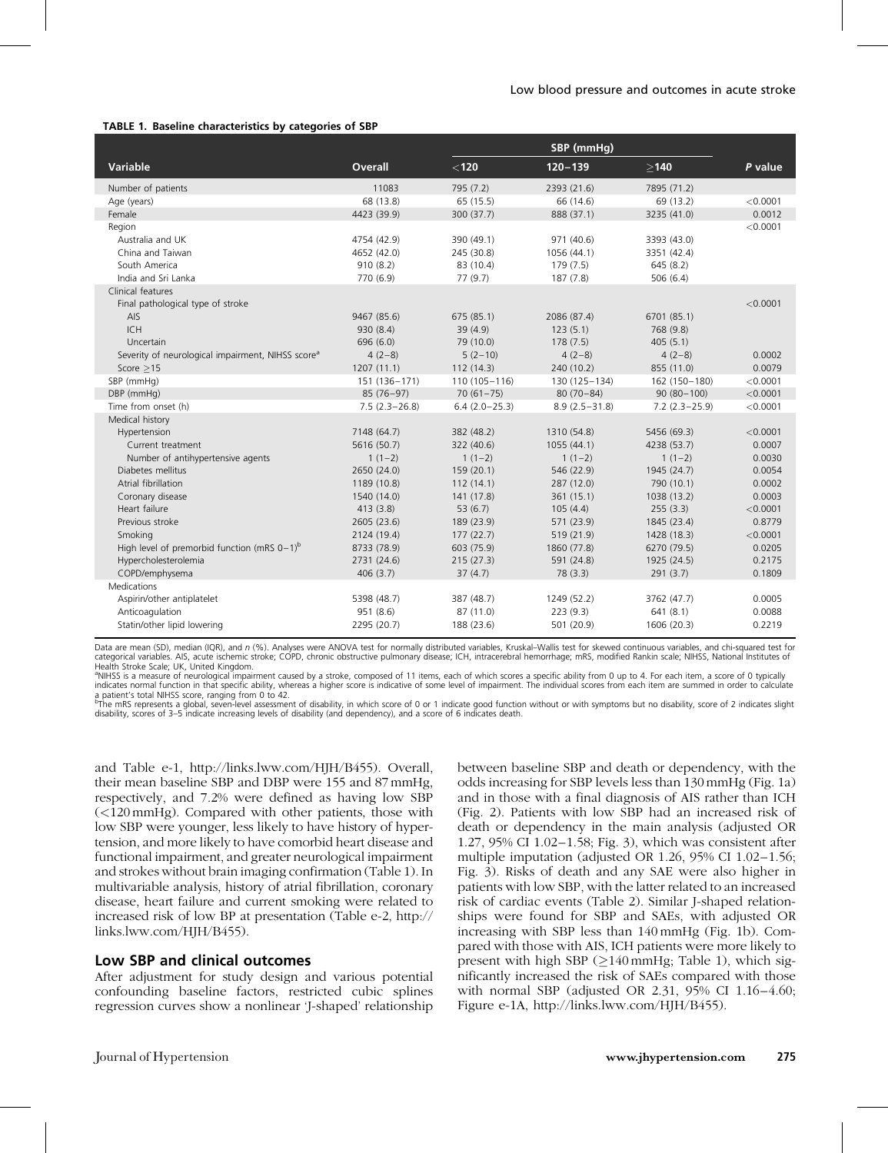#### TABLE 1. Baseline characteristics by categories of SBP

|                                                               |                 |                  | SBP (mmHq)        |                   |          |
|---------------------------------------------------------------|-----------------|------------------|-------------------|-------------------|----------|
| <b>Variable</b>                                               | <b>Overall</b>  | $<$ 120 $\,$     | $120 - 139$       | >140              | P value  |
| Number of patients                                            | 11083           | 795 (7.2)        | 2393 (21.6)       | 7895 (71.2)       |          |
| Age (years)                                                   | 68 (13.8)       | 65(15.5)         | 66 (14.6)         | 69 (13.2)         | < 0.0001 |
| Female                                                        | 4423 (39.9)     | 300 (37.7)       | 888 (37.1)        | 3235 (41.0)       | 0.0012   |
| Region                                                        |                 |                  |                   |                   | < 0.0001 |
| Australia and UK                                              | 4754 (42.9)     | 390 (49.1)       | 971 (40.6)        | 3393 (43.0)       |          |
| China and Taiwan                                              | 4652 (42.0)     | 245 (30.8)       | 1056 (44.1)       | 3351 (42.4)       |          |
| South America                                                 | 910(8.2)        | 83 (10.4)        | 179 (7.5)         | 645(8.2)          |          |
| India and Sri Lanka                                           | 770 (6.9)       | 77(9.7)          | 187 (7.8)         | 506(6.4)          |          |
| Clinical features                                             |                 |                  |                   |                   |          |
| Final pathological type of stroke                             |                 |                  |                   |                   | < 0.0001 |
| AIS                                                           | 9467 (85.6)     | 675 (85.1)       | 2086 (87.4)       | 6701 (85.1)       |          |
| <b>ICH</b>                                                    | 930 (8.4)       | 39 (4.9)         | 123(5.1)          | 768 (9.8)         |          |
| Uncertain                                                     | 696 (6.0)       | 79 (10.0)        | 178(7.5)          | 405(5.1)          |          |
| Severity of neurological impairment, NIHSS score <sup>a</sup> | $4(2-8)$        | $5(2-10)$        | $4(2-8)$          | $4(2-8)$          | 0.0002   |
| Score $>15$                                                   | 1207(11.1)      | 112(14.3)        | 240 (10.2)        | 855 (11.0)        | 0.0079   |
| SBP (mmHg)                                                    | 151 (136-171)   | $110(105 - 116)$ | 130 (125-134)     | 162 (150-180)     | < 0.0001 |
| DBP (mmHg)                                                    | $85(76-97)$     | $70(61 - 75)$    | $80(70 - 84)$     | $90(80-100)$      | < 0.0001 |
| Time from onset (h)                                           | $7.5(2.3-26.8)$ | $6.4(2.0-25.3)$  | $8.9(2.5 - 31.8)$ | $7.2(2.3 - 25.9)$ | < 0.0001 |
| Medical history                                               |                 |                  |                   |                   |          |
| Hypertension                                                  | 7148 (64.7)     | 382 (48.2)       | 1310 (54.8)       | 5456 (69.3)       | < 0.0001 |
| Current treatment                                             | 5616 (50.7)     | 322 (40.6)       | 1055 (44.1)       | 4238 (53.7)       | 0.0007   |
| Number of antihypertensive agents                             | $1(1-2)$        | $1(1-2)$         | $1(1-2)$          | $1(1-2)$          | 0.0030   |
| Diabetes mellitus                                             | 2650 (24.0)     | 159 (20.1)       | 546 (22.9)        | 1945 (24.7)       | 0.0054   |
| Atrial fibrillation                                           | 1189 (10.8)     | 112(14.1)        | 287 (12.0)        | 790 (10.1)        | 0.0002   |
| Coronary disease                                              | 1540 (14.0)     | 141 (17.8)       | 361(15.1)         | 1038 (13.2)       | 0.0003   |
| Heart failure                                                 | 413(3.8)        | 53(6.7)          | 105(4.4)          | 255(3.3)          | < 0.0001 |
| Previous stroke                                               | 2605 (23.6)     | 189 (23.9)       | 571 (23.9)        | 1845 (23.4)       | 0.8779   |
| Smoking                                                       | 2124 (19.4)     | 177(22.7)        | 519 (21.9)        | 1428 (18.3)       | < 0.0001 |
| High level of premorbid function (mRS $0-1$ ) <sup>b</sup>    | 8733 (78.9)     | 603 (75.9)       | 1860 (77.8)       | 6270 (79.5)       | 0.0205   |
| Hypercholesterolemia                                          | 2731 (24.6)     | 215(27.3)        | 591 (24.8)        | 1925 (24.5)       | 0.2175   |
| COPD/emphysema                                                | 406(3.7)        | 37(4.7)          | 78(3.3)           | 291(3.7)          | 0.1809   |
| Medications                                                   |                 |                  |                   |                   |          |
| Aspirin/other antiplatelet                                    | 5398 (48.7)     | 387 (48.7)       | 1249 (52.2)       | 3762 (47.7)       | 0.0005   |
| Anticoagulation                                               | 951 (8.6)       | 87 (11.0)        | 223(9.3)          | 641(8.1)          | 0.0088   |
| Statin/other lipid lowering                                   | 2295 (20.7)     | 188 (23.6)       | 501 (20.9)        | 1606 (20.3)       | 0.2219   |

Data are mean (SD), median (IQR), and n (%). Analyses were ANOVA test for normally distributed variables, Kruskal–Wallis test for skewed continuous variables, and chi-squared test for categorical variables. AIS, acute ischemic stroke; COPD, chronic obstructive pulmonary disease; ICH, intracerebral hemorrhage; mRS, modified Rankin scale; NIHSS, National Institutes of Health Stroke Scale; UK, United Kingdom.

<sup>a</sup>NIHSS is a measure of neurological impairment caused by a stroke, composed of 11 items, each of which scores a specific ability from 0 up to 4. For each item, a score of 0 typically indicates normal function in that specific ability, whereas a higher score is indicative of some level of impairment. The individual scores from each item are summed in order to calculate

a patient's total NIHSS score, ranging from 0 to 42.<br><sup>b</sup>The mRS represents a global, seven-level assessment of disability, in which score of 0 or 1 indicate good function without or with symptoms but no disability, score o disability, scores of 3–5 indicate increasing levels of disability (and dependency), and a score of 6 indicates death.

and Table e-1, [http://links.lww.com/HJH/B455\)](http://links.lww.com/HJH/B455). Overall, their mean baseline SBP and DBP were 155 and 87mmHg, respectively, and 7.2% were defined as having low SBP (<120mmHg). Compared with other patients, those with low SBP were younger, less likely to have history of hypertension, and more likely to have comorbid heart disease and functional impairment, and greater neurological impairment and strokes without brain imaging confirmation (Table 1). In multivariable analysis, history of atrial fibrillation, coronary disease, heart failure and current smoking were related to increased risk of low BP at presentation (Table e-2, [http://](http://links.lww.com/HJH/B455) [links.lww.com/HJH/B455\)](http://links.lww.com/HJH/B455).

## Low SBP and clinical outcomes

After adjustment for study design and various potential confounding baseline factors, restricted cubic splines regression curves show a nonlinear 'J-shaped' relationship

between baseline SBP and death or dependency, with the odds increasing for SBP levels less than 130 mmHg (Fig. 1a) and in those with a final diagnosis of AIS rather than ICH (Fig. 2). Patients with low SBP had an increased risk of death or dependency in the main analysis (adjusted OR 1.27, 95% CI 1.02–1.58; Fig. 3), which was consistent after multiple imputation (adjusted OR 1.26, 95% CI 1.02–1.56; Fig. 3). Risks of death and any SAE were also higher in patients with low SBP, with the latter related to an increased risk of cardiac events (Table 2). Similar J-shaped relationships were found for SBP and SAEs, with adjusted OR increasing with SBP less than 140 mmHg (Fig. 1b). Compared with those with AIS, ICH patients were more likely to present with high SBP  $(\geq 140 \text{ mmHg}; \text{Table 1}),$  which significantly increased the risk of SAEs compared with those with normal SBP (adjusted OR 2.31, 95% CI 1.16–4.60; Figure e-1A, [http://links.lww.com/HJH/B455\)](http://links.lww.com/HJH/B455).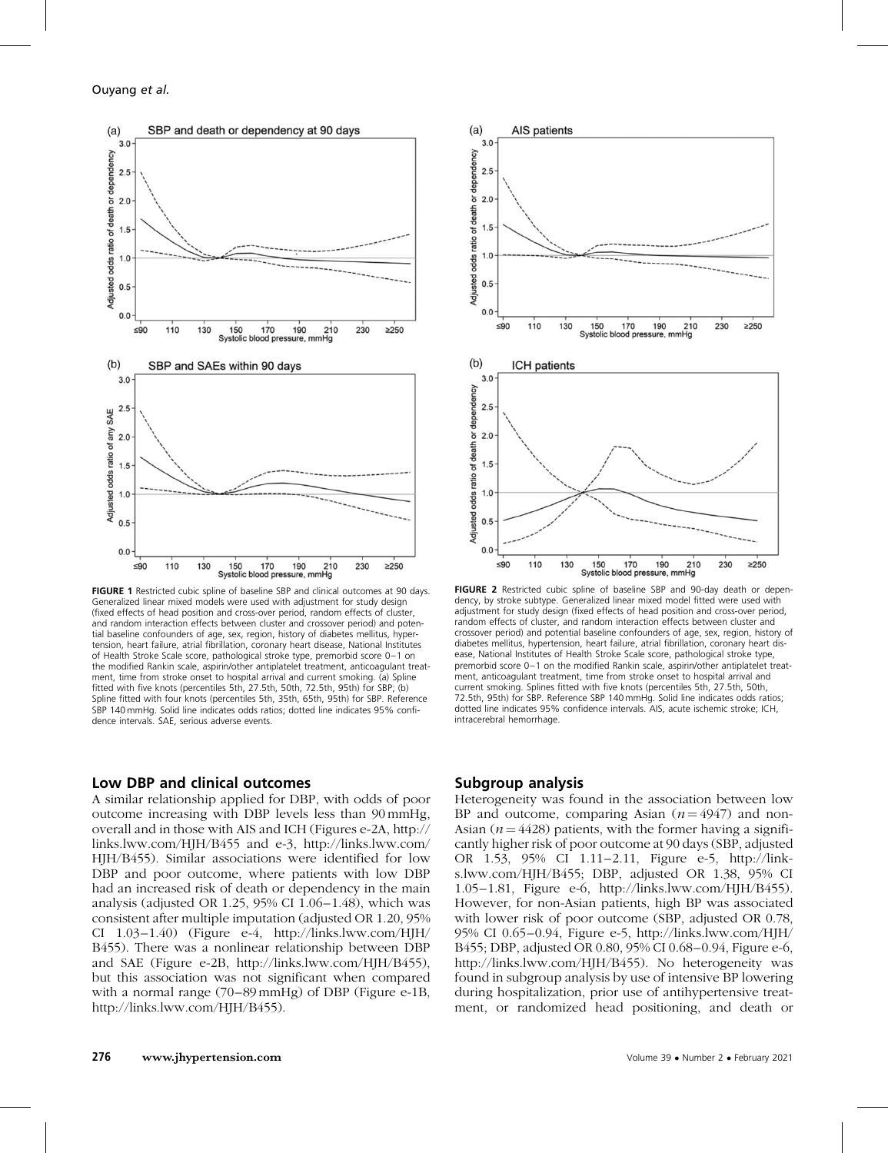

FIGURE 1 Restricted cubic spline of baseline SBP and clinical outcomes at 90 days. Generalized linear mixed models were used with adjustment for study design (fixed effects of head position and cross-over period, random effects of cluster, and random interaction effects between cluster and crossover period) and potential baseline confounders of age, sex, region, history of diabetes mellitus, hypertension, heart failure, atrial fibrillation, coronary heart disease, National Institutes of Health Stroke Scale score, pathological stroke type, premorbid score 0–1 on the modified Rankin scale, aspirin/other antiplatelet treatment, anticoagulant treatment, time from stroke onset to hospital arrival and current smoking. (a) Spline fitted with five knots (percentiles 5th, 27.5th, 50th, 72.5th, 95th) for SBP; (b) Spline fitted with four knots (percentiles 5th, 35th, 65th, 95th) for SBP. Reference SBP 140 mmHg. Solid line indicates odds ratios; dotted line indicates 95% confidence intervals. SAE, serious adverse events.

## Low DBP and clinical outcomes

A similar relationship applied for DBP, with odds of poor outcome increasing with DBP levels less than 90mmHg, overall and in those with AIS and ICH (Figures e-2A, [http://](http://links.lww.com/HJH/B455) [links.lww.com/HJH/B455](http://links.lww.com/HJH/B455) and e-3, [http://links.lww.com/](http://links.lww.com/HJH/B455) [HJH/B455](http://links.lww.com/HJH/B455)). Similar associations were identified for low DBP and poor outcome, where patients with low DBP had an increased risk of death or dependency in the main analysis (adjusted OR 1.25, 95% CI 1.06–1.48), which was consistent after multiple imputation (adjusted OR 1.20, 95% CI  $1.03-1.40$ ) (Figure e-4, [http://links.lww.com/HJH/](http://links.lww.com/HJH/B455) [B455](http://links.lww.com/HJH/B455)). There was a nonlinear relationship between DBP and SAE (Figure e-2B,<http://links.lww.com/HJH/B455>), but this association was not significant when compared with a normal range (70–89mmHg) of DBP (Figure e-1B, [http://links.lww.com/HJH/B455\)](http://links.lww.com/HJH/B455).



FIGURE 2 Restricted cubic spline of baseline SBP and 90-day death or dependency, by stroke subtype. Generalized linear mixed model fitted were used with adjustment for study design (fixed effects of head position and cross-over period, random effects of cluster, and random interaction effects between cluster and crossover period) and potential baseline confounders of age, sex, region, history of diabetes mellitus, hypertension, heart failure, atrial fibrillation, coronary heart disease, National Institutes of Health Stroke Scale score, pathological stroke type, premorbid score 0–1 on the modified Rankin scale, aspirin/other antiplatelet treatment, anticoagulant treatment, time from stroke onset to hospital arrival and current smoking. Splines fitted with five knots (percentiles 5th, 27.5th, 50th, 72.5th, 95th) for SBP. Reference SBP 140 mmHg. Solid line indicates odds ratios; dotted line indicates 95% confidence intervals. AIS, acute ischemic stroke; ICH, intracerebral hemorrhage.

### Subgroup analysis

Heterogeneity was found in the association between low BP and outcome, comparing Asian  $(n = 4947)$  and non-Asian ( $n = 4428$ ) patients, with the former having a significantly higher risk of poor outcome at 90 days (SBP, adjusted OR 1.53, 95% CI 1.11–2.11, Figure e-5, [http://link](http://links.lww.com/HJH/B455)[s.lww.com/HJH/B455](http://links.lww.com/HJH/B455); DBP, adjusted OR 1.38, 95% CI 1.05–1.81, Figure e-6, [http://links.lww.com/HJH/B455\)](http://links.lww.com/HJH/B455). However, for non-Asian patients, high BP was associated with lower risk of poor outcome (SBP, adjusted OR 0.78, 95% CI 0.65–0.94, Figure e-5, [http://links.lww.com/HJH/](http://links.lww.com/HJH/B455) [B455;](http://links.lww.com/HJH/B455) DBP, adjusted OR 0.80, 95% CI 0.68–0.94, Figure e-6, <http://links.lww.com/HJH/B455>). No heterogeneity was found in subgroup analysis by use of intensive BP lowering during hospitalization, prior use of antihypertensive treatment, or randomized head positioning, and death or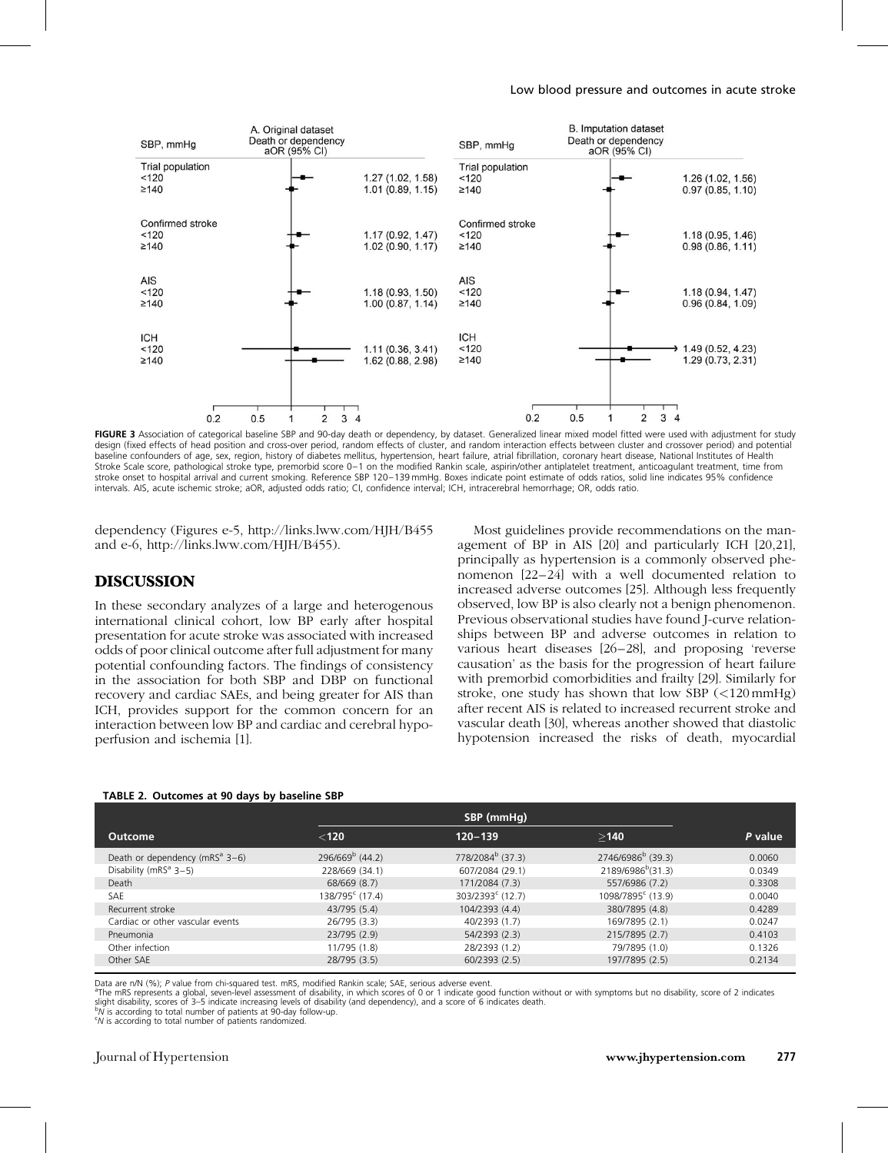

FIGURE 3 Association of categorical baseline SBP and 90-day death or dependency, by dataset. Generalized linear mixed model fitted were used with adjustment for study design (fixed effects of head position and cross-over period, random effects of cluster, and random interaction effects between cluster and crossover period) and potential baseline confounders of age, sex, region, history of diabetes mellitus, hypertension, heart failure, atrial fibrillation, coronary heart disease, National Institutes of Health Stroke Scale score, pathological stroke type, premorbid score 0–1 on the modified Rankin scale, aspirin/other antiplatelet treatment, anticoagulant treatment, time from stroke onset to hospital arrival and current smoking. Reference SBP 120–139 mmHg. Boxes indicate point estimate of odds ratios, solid line indicates 95% confidence intervals. AIS, acute ischemic stroke; aOR, adjusted odds ratio; CI, confidence interval; ICH, intracerebral hemorrhage; OR, odds ratio.

dependency (Figures e-5,<http://links.lww.com/HJH/B455> and e-6,<http://links.lww.com/HJH/B455>).

## **DISCUSSION**

In these secondary analyzes of a large and heterogenous international clinical cohort, low BP early after hospital presentation for acute stroke was associated with increased odds of poor clinical outcome after full adjustment for many potential confounding factors. The findings of consistency in the association for both SBP and DBP on functional recovery and cardiac SAEs, and being greater for AIS than ICH, provides support for the common concern for an interaction between low BP and cardiac and cerebral hypoperfusion and ischemia [\[1\].](#page-5-0)

Most guidelines provide recommendations on the management of BP in AIS [\[20\]](#page-6-0) and particularly ICH [\[20,21\]](#page-6-0), principally as hypertension is a commonly observed phenomenon [\[22–24\]](#page-6-0) with a well documented relation to increased adverse outcomes [\[25\]](#page-6-0). Although less frequently observed, low BP is also clearly not a benign phenomenon. Previous observational studies have found J-curve relationships between BP and adverse outcomes in relation to various heart diseases [\[26–28\],](#page-6-0) and proposing 'reverse causation' as the basis for the progression of heart failure with premorbid comorbidities and frailty [\[29\].](#page-6-0) Similarly for stroke, one study has shown that low SBP  $\left($ <120 mmHg) after recent AIS is related to increased recurrent stroke and vascular death [\[30\],](#page-6-0) whereas another showed that diastolic hypotension increased the risks of death, myocardial

#### TABLE 2. Outcomes at 90 days by baseline SBP

|                                            |                             | SBP (mmHg)                   |                               |         |  |  |
|--------------------------------------------|-----------------------------|------------------------------|-------------------------------|---------|--|--|
| Outcome                                    | $<$ 120                     | $120 - 139$                  | >140                          | P value |  |  |
| Death or dependency (mRS <sup>a</sup> 3-6) | $296/669b$ (44.2)           | 778/2084 <sup>b</sup> (37.3) | 2746/6986 <sup>b</sup> (39.3) | 0.0060  |  |  |
| Disability ( $mRS^a$ 3-5)                  | 228/669 (34.1)              | 607/2084 (29.1)              | 2189/6986 <sup>b</sup> (31.3) | 0.0349  |  |  |
| Death                                      | 68/669 (8.7)                | 171/2084 (7.3)               | 557/6986 (7.2)                | 0.3308  |  |  |
| <b>SAF</b>                                 | 138/795 <sup>c</sup> (17.4) | $303/2393^c$ (12.7)          | 1098/7895 <sup>c</sup> (13.9) | 0.0040  |  |  |
| Recurrent stroke                           | 43/795 (5.4)                | 104/2393 (4.4)               | 380/7895 (4.8)                | 0.4289  |  |  |
| Cardiac or other vascular events           | 26/795 (3.3)                | 40/2393 (1.7)                | 169/7895 (2.1)                | 0.0247  |  |  |
| Pneumonia                                  | 23/795 (2.9)                | 54/2393 (2.3)                | 215/7895 (2.7)                | 0.4103  |  |  |
| Other infection                            | 11/795 (1.8)                | 28/2393 (1.2)                | 79/7895 (1.0)                 | 0.1326  |  |  |
| Other SAE                                  | 28/795 (3.5)                | 60/2393 (2.5)                | 197/7895 (2.5)                | 0.2134  |  |  |
|                                            |                             |                              |                               |         |  |  |

Data are n/N (%); P value from chi-squared test. mRS, modified Rankin scale; SAE, serious adverse event.

The mRS represents a global, seven-level assessment of disability, in which scores of 0 or 1 indicate good function without or with symptoms but no disability, score of 2 indicates slight disability, scores of 3–5 indicate increasing levels of disability (and dependency), and a score of 6 indicates death.

 $h^b$  is according to total number of patients at  $90$ -day follow-up.

N is according to total number of patients randomized.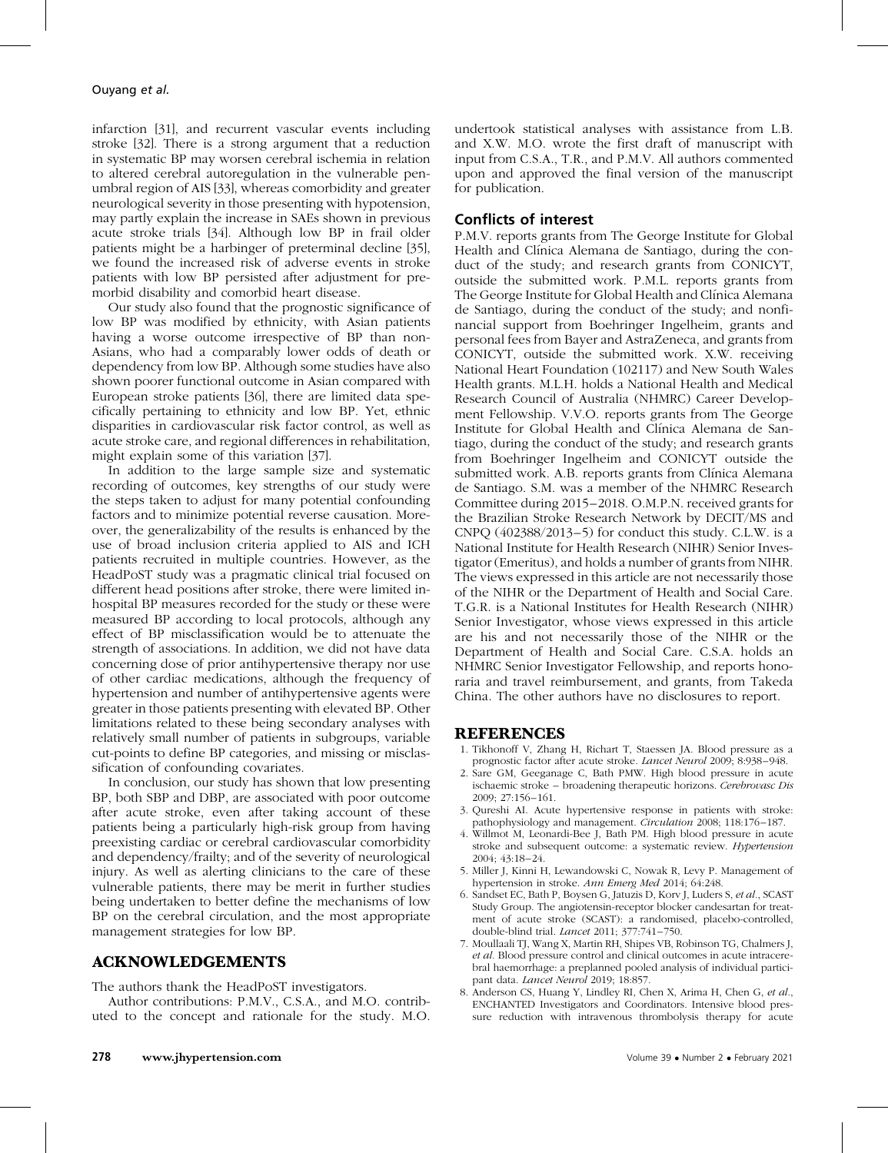<span id="page-5-0"></span>infarction [\[31\]](#page-6-0), and recurrent vascular events including stroke [\[32\]](#page-6-0). There is a strong argument that a reduction in systematic BP may worsen cerebral ischemia in relation to altered cerebral autoregulation in the vulnerable penumbral region of AIS [\[33\],](#page-6-0) whereas comorbidity and greater neurological severity in those presenting with hypotension, may partly explain the increase in SAEs shown in previous acute stroke trials [\[34\]](#page-6-0). Although low BP in frail older patients might be a harbinger of preterminal decline [\[35\],](#page-6-0) we found the increased risk of adverse events in stroke patients with low BP persisted after adjustment for premorbid disability and comorbid heart disease.

Our study also found that the prognostic significance of low BP was modified by ethnicity, with Asian patients having a worse outcome irrespective of BP than non-Asians, who had a comparably lower odds of death or dependency from low BP. Although some studies have also shown poorer functional outcome in Asian compared with European stroke patients [\[36\]](#page-6-0), there are limited data specifically pertaining to ethnicity and low BP. Yet, ethnic disparities in cardiovascular risk factor control, as well as acute stroke care, and regional differences in rehabilitation, might explain some of this variation [\[37\]](#page-6-0).

In addition to the large sample size and systematic recording of outcomes, key strengths of our study were the steps taken to adjust for many potential confounding factors and to minimize potential reverse causation. Moreover, the generalizability of the results is enhanced by the use of broad inclusion criteria applied to AIS and ICH patients recruited in multiple countries. However, as the HeadPoST study was a pragmatic clinical trial focused on different head positions after stroke, there were limited inhospital BP measures recorded for the study or these were measured BP according to local protocols, although any effect of BP misclassification would be to attenuate the strength of associations. In addition, we did not have data concerning dose of prior antihypertensive therapy nor use of other cardiac medications, although the frequency of hypertension and number of antihypertensive agents were greater in those patients presenting with elevated BP. Other limitations related to these being secondary analyses with relatively small number of patients in subgroups, variable cut-points to define BP categories, and missing or misclassification of confounding covariates.

In conclusion, our study has shown that low presenting BP, both SBP and DBP, are associated with poor outcome after acute stroke, even after taking account of these patients being a particularly high-risk group from having preexisting cardiac or cerebral cardiovascular comorbidity and dependency/frailty; and of the severity of neurological injury. As well as alerting clinicians to the care of these vulnerable patients, there may be merit in further studies being undertaken to better define the mechanisms of low BP on the cerebral circulation, and the most appropriate management strategies for low BP.

## ACKNOWLEDGEMENTS

The authors thank the HeadPoST investigators.

Author contributions: P.M.V., C.S.A., and M.O. contributed to the concept and rationale for the study. M.O. undertook statistical analyses with assistance from L.B. and X.W. M.O. wrote the first draft of manuscript with input from C.S.A., T.R., and P.M.V. All authors commented upon and approved the final version of the manuscript for publication.

## Conflicts of interest

P.M.V. reports grants from The George Institute for Global Health and Clínica Alemana de Santiago, during the conduct of the study; and research grants from CONICYT, outside the submitted work. P.M.L. reports grants from The George Institute for Global Health and Clínica Alemana de Santiago, during the conduct of the study; and nonfinancial support from Boehringer Ingelheim, grants and personal fees from Bayer and AstraZeneca, and grants from CONICYT, outside the submitted work. X.W. receiving National Heart Foundation (102117) and New South Wales Health grants. M.L.H. holds a National Health and Medical Research Council of Australia (NHMRC) Career Development Fellowship. V.V.O. reports grants from The George Institute for Global Health and Clínica Alemana de Santiago, during the conduct of the study; and research grants from Boehringer Ingelheim and CONICYT outside the submitted work. A.B. reports grants from Clínica Alemana de Santiago. S.M. was a member of the NHMRC Research Committee during 2015–2018. O.M.P.N. received grants for the Brazilian Stroke Research Network by DECIT/MS and CNPQ  $(402388/2013-5)$  for conduct this study. C.L.W. is a National Institute for Health Research (NIHR) Senior Investigator (Emeritus), and holds a number of grants from NIHR. The views expressed in this article are not necessarily those of the NIHR or the Department of Health and Social Care. T.G.R. is a National Institutes for Health Research (NIHR) Senior Investigator, whose views expressed in this article are his and not necessarily those of the NIHR or the Department of Health and Social Care. C.S.A. holds an NHMRC Senior Investigator Fellowship, and reports honoraria and travel reimbursement, and grants, from Takeda China. The other authors have no disclosures to report.

### REFERENCES

- 1. Tikhonoff V, Zhang H, Richart T, Staessen JA. Blood pressure as a prognostic factor after acute stroke. Lancet Neurol 2009; 8:938–948.
- 2. Sare GM, Geeganage C, Bath PMW. High blood pressure in acute ischaemic stroke – broadening therapeutic horizons. Cerebrovasc Dis 2009; 27:156–161.
- 3. Qureshi AI. Acute hypertensive response in patients with stroke: pathophysiology and management. Circulation 2008; 118:176–187.
- 4. Willmot M, Leonardi-Bee J, Bath PM. High blood pressure in acute stroke and subsequent outcome: a systematic review. Hypertension 2004; 43:18–24.
- 5. Miller J, Kinni H, Lewandowski C, Nowak R, Levy P. Management of hypertension in stroke. Ann Emerg Med 2014; 64:248.
- 6. Sandset EC, Bath P, Boysen G, Jatuzis D, Korv J, Luders S, et al., SCAST Study Group. The angiotensin-receptor blocker candesartan for treatment of acute stroke (SCAST): a randomised, placebo-controlled, double-blind trial. Lancet 2011; 377:741–750.
- 7. Moullaali TJ, Wang X, Martin RH, Shipes VB, Robinson TG, Chalmers J, et al. Blood pressure control and clinical outcomes in acute intracerebral haemorrhage: a preplanned pooled analysis of individual participant data. Lancet Neurol 2019; 18:857.
- 8. Anderson CS, Huang Y, Lindley RI, Chen X, Arima H, Chen G, et al., ENCHANTED Investigators and Coordinators. Intensive blood pressure reduction with intravenous thrombolysis therapy for acute